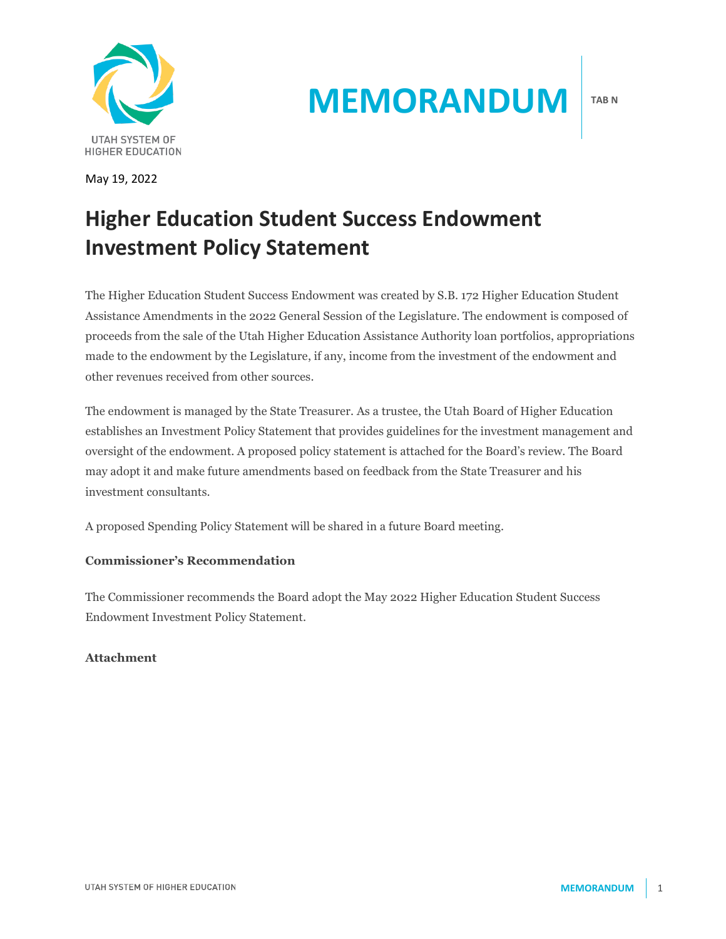

May 19, 2022

# **MEMORANDUM**

# **Higher Education Student Success Endowment Investment Policy Statement**

The Higher Education Student Success Endowment was created by S.B. 172 Higher Education Student Assistance Amendments in the 2022 General Session of the Legislature. The endowment is composed of proceeds from the sale of the Utah Higher Education Assistance Authority loan portfolios, appropriations made to the endowment by the Legislature, if any, income from the investment of the endowment and other revenues received from other sources.

The endowment is managed by the State Treasurer. As a trustee, the Utah Board of Higher Education establishes an Investment Policy Statement that provides guidelines for the investment management and oversight of the endowment. A proposed policy statement is attached for the Board's review. The Board may adopt it and make future amendments based on feedback from the State Treasurer and his investment consultants.

A proposed Spending Policy Statement will be shared in a future Board meeting.

# **Commissioner's Recommendation**

The Commissioner recommends the Board adopt the May 2022 Higher Education Student Success Endowment Investment Policy Statement.

## **Attachment**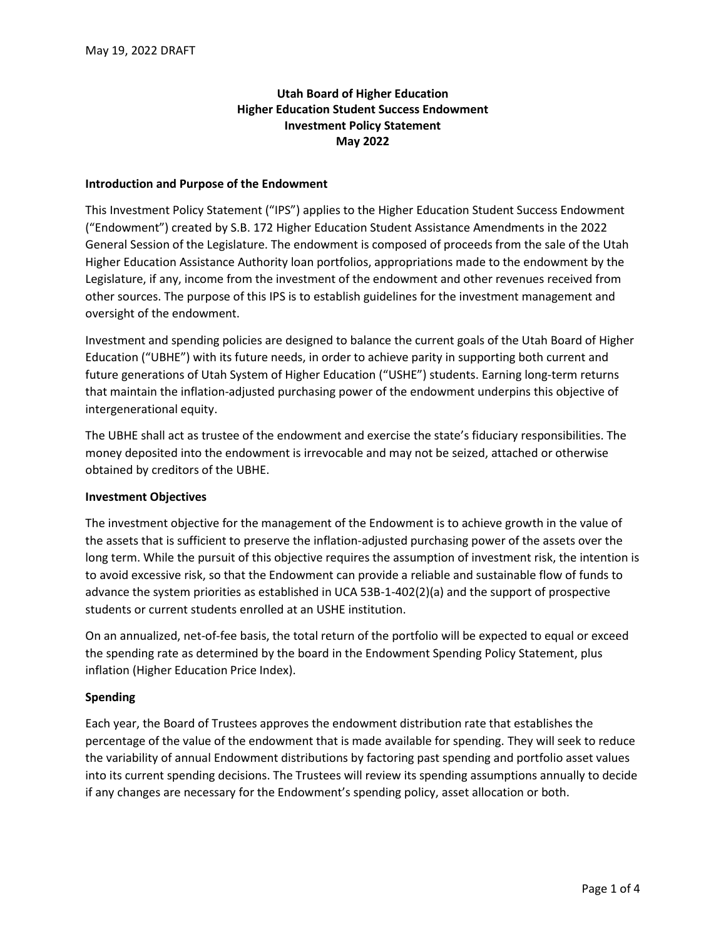## **Utah Board of Higher Education Higher Education Student Success Endowment Investment Policy Statement May 2022**

#### **Introduction and Purpose of the Endowment**

This Investment Policy Statement ("IPS") applies to the Higher Education Student Success Endowment ("Endowment") created by S.B. 172 Higher Education Student Assistance Amendments in the 2022 General Session of the Legislature. The endowment is composed of proceeds from the sale of the Utah Higher Education Assistance Authority loan portfolios, appropriations made to the endowment by the Legislature, if any, income from the investment of the endowment and other revenues received from other sources. The purpose of this IPS is to establish guidelines for the investment management and oversight of the endowment.

Investment and spending policies are designed to balance the current goals of the Utah Board of Higher Education ("UBHE") with its future needs, in order to achieve parity in supporting both current and future generations of Utah System of Higher Education ("USHE") students. Earning long-term returns that maintain the inflation-adjusted purchasing power of the endowment underpins this objective of intergenerational equity.

The UBHE shall act as trustee of the endowment and exercise the state's fiduciary responsibilities. The money deposited into the endowment is irrevocable and may not be seized, attached or otherwise obtained by creditors of the UBHE.

#### **Investment Objectives**

The investment objective for the management of the Endowment is to achieve growth in the value of the assets that is sufficient to preserve the inflation-adjusted purchasing power of the assets over the long term. While the pursuit of this objective requires the assumption of investment risk, the intention is to avoid excessive risk, so that the Endowment can provide a reliable and sustainable flow of funds to advance the system priorities as established in UCA 53B-1-402(2)(a) and the support of prospective students or current students enrolled at an USHE institution.

On an annualized, net-of-fee basis, the total return of the portfolio will be expected to equal or exceed the spending rate as determined by the board in the Endowment Spending Policy Statement, plus inflation (Higher Education Price Index).

#### **Spending**

Each year, the Board of Trustees approves the endowment distribution rate that establishes the percentage of the value of the endowment that is made available for spending. They will seek to reduce the variability of annual Endowment distributions by factoring past spending and portfolio asset values into its current spending decisions. The Trustees will review its spending assumptions annually to decide if any changes are necessary for the Endowment's spending policy, asset allocation or both.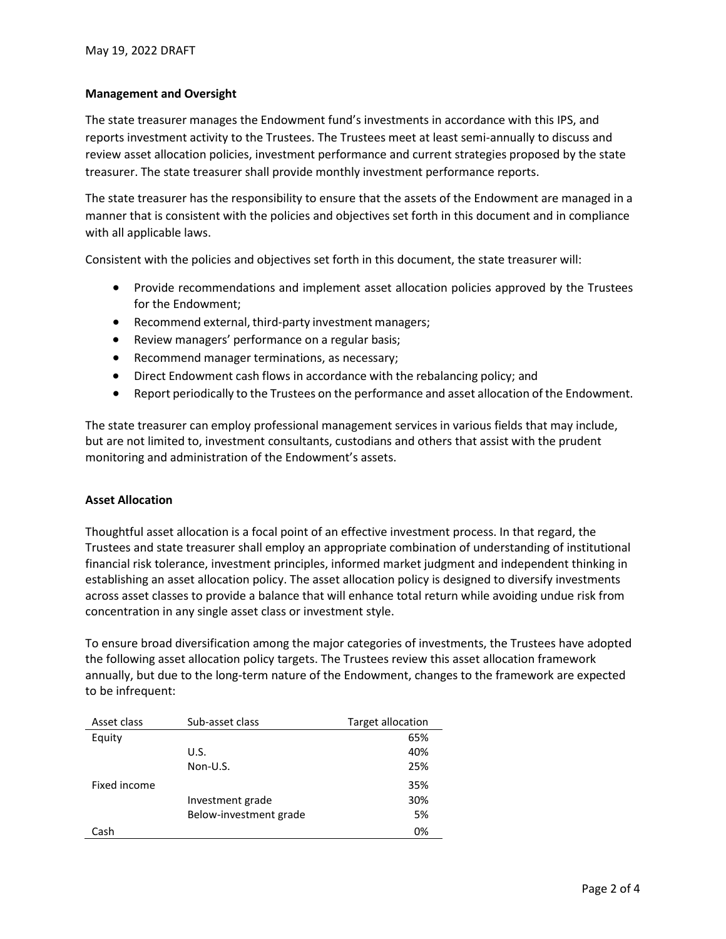#### **Management and Oversight**

The state treasurer manages the Endowment fund's investments in accordance with this IPS, and reports investment activity to the Trustees. The Trustees meet at least semi-annually to discuss and review asset allocation policies, investment performance and current strategies proposed by the state treasurer. The state treasurer shall provide monthly investment performance reports.

The state treasurer has the responsibility to ensure that the assets of the Endowment are managed in a manner that is consistent with the policies and objectives set forth in this document and in compliance with all applicable laws.

Consistent with the policies and objectives set forth in this document, the state treasurer will:

- Provide recommendations and implement asset allocation policies approved by the Trustees for the Endowment;
- Recommend external, third-party investment managers;
- Review managers' performance on a regular basis;
- Recommend manager terminations, as necessary;
- Direct Endowment cash flows in accordance with the rebalancing policy; and
- Report periodically to the Trustees on the performance and asset allocation of the Endowment.

The state treasurer can employ professional management services in various fields that may include, but are not limited to, investment consultants, custodians and others that assist with the prudent monitoring and administration of the Endowment's assets.

#### **Asset Allocation**

Thoughtful asset allocation is a focal point of an effective investment process. In that regard, the Trustees and state treasurer shall employ an appropriate combination of understanding of institutional financial risk tolerance, investment principles, informed market judgment and independent thinking in establishing an asset allocation policy. The asset allocation policy is designed to diversify investments across asset classes to provide a balance that will enhance total return while avoiding undue risk from concentration in any single asset class or investment style.

To ensure broad diversification among the major categories of investments, the Trustees have adopted the following asset allocation policy targets. The Trustees review this asset allocation framework annually, but due to the long-term nature of the Endowment, changes to the framework are expected to be infrequent:

| Asset class  | Sub-asset class        | <b>Target allocation</b> |
|--------------|------------------------|--------------------------|
| Equity       |                        | 65%                      |
|              | U.S.                   | 40%                      |
|              | Non-U.S.               | 25%                      |
| Fixed income |                        | 35%                      |
|              | Investment grade       | 30%                      |
|              | Below-investment grade | 5%                       |
| Cash         |                        | 0%                       |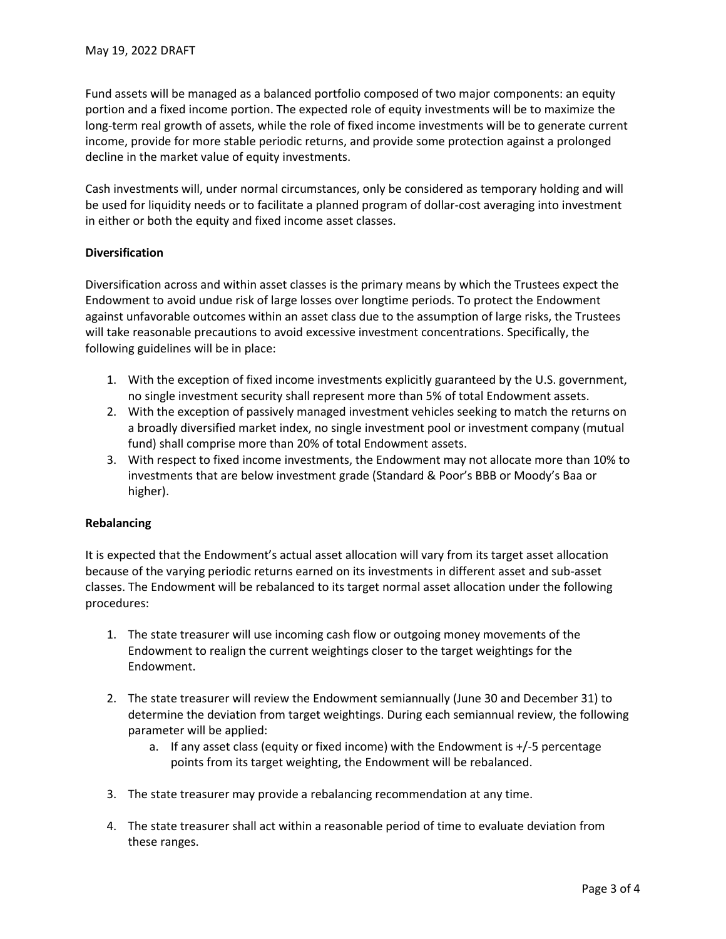Fund assets will be managed as a balanced portfolio composed of two major components: an equity portion and a fixed income portion. The expected role of equity investments will be to maximize the long-term real growth of assets, while the role of fixed income investments will be to generate current income, provide for more stable periodic returns, and provide some protection against a prolonged decline in the market value of equity investments.

Cash investments will, under normal circumstances, only be considered as temporary holding and will be used for liquidity needs or to facilitate a planned program of dollar-cost averaging into investment in either or both the equity and fixed income asset classes.

#### **Diversification**

Diversification across and within asset classes is the primary means by which the Trustees expect the Endowment to avoid undue risk of large losses over longtime periods. To protect the Endowment against unfavorable outcomes within an asset class due to the assumption of large risks, the Trustees will take reasonable precautions to avoid excessive investment concentrations. Specifically, the following guidelines will be in place:

- 1. With the exception of fixed income investments explicitly guaranteed by the U.S. government, no single investment security shall represent more than 5% of total Endowment assets.
- 2. With the exception of passively managed investment vehicles seeking to match the returns on a broadly diversified market index, no single investment pool or investment company (mutual fund) shall comprise more than 20% of total Endowment assets.
- 3. With respect to fixed income investments, the Endowment may not allocate more than 10% to investments that are below investment grade (Standard & Poor's BBB or Moody's Baa or higher).

#### **Rebalancing**

It is expected that the Endowment's actual asset allocation will vary from its target asset allocation because of the varying periodic returns earned on its investments in different asset and sub-asset classes. The Endowment will be rebalanced to its target normal asset allocation under the following procedures:

- 1. The state treasurer will use incoming cash flow or outgoing money movements of the Endowment to realign the current weightings closer to the target weightings for the Endowment.
- 2. The state treasurer will review the Endowment semiannually (June 30 and December 31) to determine the deviation from target weightings. During each semiannual review, the following parameter will be applied:
	- a. If any asset class (equity or fixed income) with the Endowment is +/-5 percentage points from its target weighting, the Endowment will be rebalanced.
- 3. The state treasurer may provide a rebalancing recommendation at any time.
- 4. The state treasurer shall act within a reasonable period of time to evaluate deviation from these ranges.